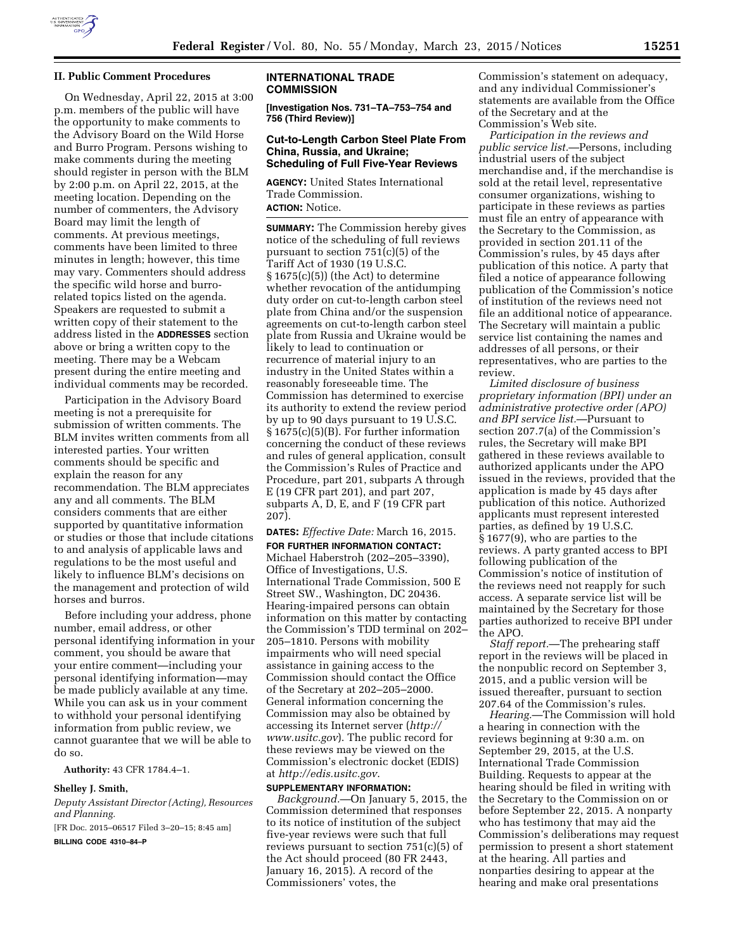

## **II. Public Comment Procedures**

On Wednesday, April 22, 2015 at 3:00 p.m. members of the public will have the opportunity to make comments to the Advisory Board on the Wild Horse and Burro Program. Persons wishing to make comments during the meeting should register in person with the BLM by 2:00 p.m. on April 22, 2015, at the meeting location. Depending on the number of commenters, the Advisory Board may limit the length of comments. At previous meetings, comments have been limited to three minutes in length; however, this time may vary. Commenters should address the specific wild horse and burrorelated topics listed on the agenda. Speakers are requested to submit a written copy of their statement to the address listed in the **ADDRESSES** section above or bring a written copy to the meeting. There may be a Webcam present during the entire meeting and individual comments may be recorded.

Participation in the Advisory Board meeting is not a prerequisite for submission of written comments. The BLM invites written comments from all interested parties. Your written comments should be specific and explain the reason for any recommendation. The BLM appreciates any and all comments. The BLM considers comments that are either supported by quantitative information or studies or those that include citations to and analysis of applicable laws and regulations to be the most useful and likely to influence BLM's decisions on the management and protection of wild horses and burros.

Before including your address, phone number, email address, or other personal identifying information in your comment, you should be aware that your entire comment—including your personal identifying information—may be made publicly available at any time. While you can ask us in your comment to withhold your personal identifying information from public review, we cannot guarantee that we will be able to do so.

**Authority:** 43 CFR 1784.4–1.

#### **Shelley J. Smith,**

*Deputy Assistant Director (Acting), Resources and Planning.* 

[FR Doc. 2015–06517 Filed 3–20–15; 8:45 am]

**BILLING CODE 4310–84–P** 

### **INTERNATIONAL TRADE COMMISSION**

**[Investigation Nos. 731–TA–753–754 and 756 (Third Review)]** 

## **Cut-to-Length Carbon Steel Plate From China, Russia, and Ukraine; Scheduling of Full Five-Year Reviews**

**AGENCY:** United States International Trade Commission. **ACTION:** Notice.

**SUMMARY:** The Commission hereby gives notice of the scheduling of full reviews pursuant to section 751(c)(5) of the Tariff Act of 1930 (19 U.S.C.  $§ 1675(c)(5))$  (the Act) to determine whether revocation of the antidumping duty order on cut-to-length carbon steel plate from China and/or the suspension agreements on cut-to-length carbon steel plate from Russia and Ukraine would be likely to lead to continuation or recurrence of material injury to an industry in the United States within a reasonably foreseeable time. The Commission has determined to exercise its authority to extend the review period by up to 90 days pursuant to 19 U.S.C. § 1675(c)(5)(B). For further information concerning the conduct of these reviews and rules of general application, consult the Commission's Rules of Practice and Procedure, part 201, subparts A through E (19 CFR part 201), and part 207, subparts A, D, E, and F (19 CFR part 207).

# **DATES:** *Effective Date:* March 16, 2015.

**FOR FURTHER INFORMATION CONTACT:**  Michael Haberstroh (202–205–3390), Office of Investigations, U.S. International Trade Commission, 500 E Street SW., Washington, DC 20436. Hearing-impaired persons can obtain information on this matter by contacting the Commission's TDD terminal on 202– 205–1810. Persons with mobility impairments who will need special assistance in gaining access to the Commission should contact the Office of the Secretary at 202–205–2000. General information concerning the Commission may also be obtained by accessing its Internet server (*[http://](http://www.usitc.gov) [www.usitc.gov](http://www.usitc.gov)*). The public record for these reviews may be viewed on the Commission's electronic docket (EDIS) at *<http://edis.usitc.gov>*.

# **SUPPLEMENTARY INFORMATION:**

*Background.*—On January 5, 2015, the Commission determined that responses to its notice of institution of the subject five-year reviews were such that full reviews pursuant to section 751(c)(5) of the Act should proceed (80 FR 2443, January 16, 2015). A record of the Commissioners' votes, the

Commission's statement on adequacy, and any individual Commissioner's statements are available from the Office of the Secretary and at the Commission's Web site.

*Participation in the reviews and public service list.*—Persons, including industrial users of the subject merchandise and, if the merchandise is sold at the retail level, representative consumer organizations, wishing to participate in these reviews as parties must file an entry of appearance with the Secretary to the Commission, as provided in section 201.11 of the Commission's rules, by 45 days after publication of this notice. A party that filed a notice of appearance following publication of the Commission's notice of institution of the reviews need not file an additional notice of appearance. The Secretary will maintain a public service list containing the names and addresses of all persons, or their representatives, who are parties to the review.

*Limited disclosure of business proprietary information (BPI) under an administrative protective order (APO) and BPI service list.*—Pursuant to section 207.7(a) of the Commission's rules, the Secretary will make BPI gathered in these reviews available to authorized applicants under the APO issued in the reviews, provided that the application is made by 45 days after publication of this notice. Authorized applicants must represent interested parties, as defined by 19 U.S.C. § 1677(9), who are parties to the reviews. A party granted access to BPI following publication of the Commission's notice of institution of the reviews need not reapply for such access. A separate service list will be maintained by the Secretary for those parties authorized to receive BPI under the APO.

*Staff report.*—The prehearing staff report in the reviews will be placed in the nonpublic record on September 3, 2015, and a public version will be issued thereafter, pursuant to section 207.64 of the Commission's rules.

*Hearing.*—The Commission will hold a hearing in connection with the reviews beginning at 9:30 a.m. on September 29, 2015, at the U.S. International Trade Commission Building. Requests to appear at the hearing should be filed in writing with the Secretary to the Commission on or before September 22, 2015. A nonparty who has testimony that may aid the Commission's deliberations may request permission to present a short statement at the hearing. All parties and nonparties desiring to appear at the hearing and make oral presentations